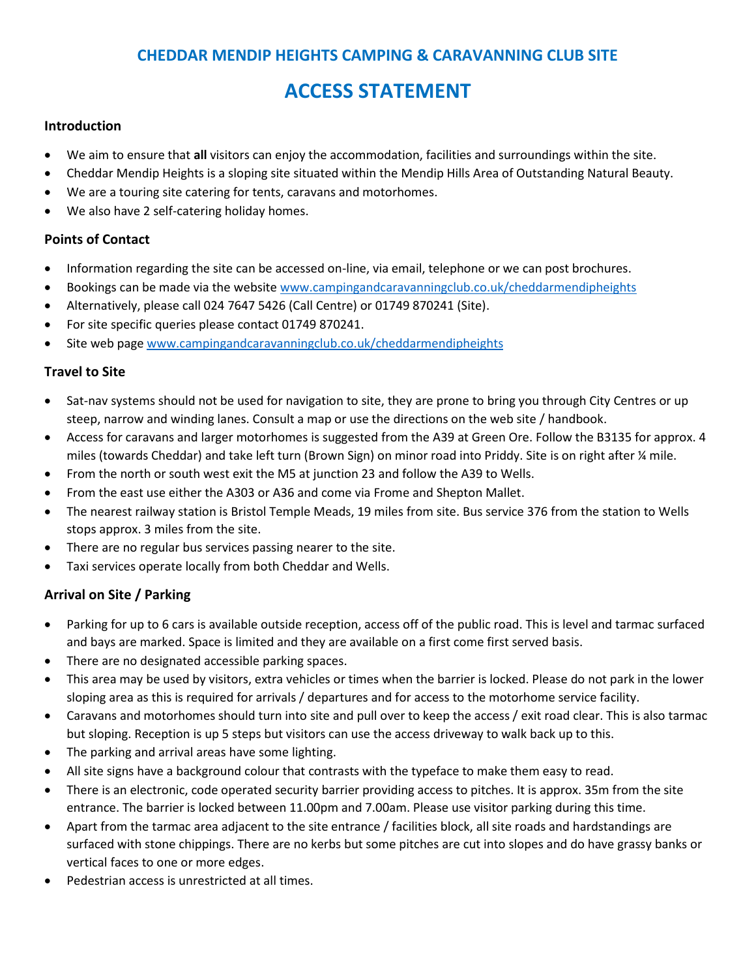# **CHEDDAR MENDIP HEIGHTS CAMPING & CARAVANNING CLUB SITE**

# **ACCESS STATEMENT**

#### **Introduction**

- We aim to ensure that **all** visitors can enjoy the accommodation, facilities and surroundings within the site.
- Cheddar Mendip Heights is a sloping site situated within the Mendip Hills Area of Outstanding Natural Beauty.
- We are a touring site catering for tents, caravans and motorhomes.
- We also have 2 self-catering holiday homes.

#### **Points of Contact**

- Information regarding the site can be accessed on-line, via email, telephone or we can post brochures.
- Bookings can be made via the website [www.campingandcaravanningclub.co.uk/cheddarmendipheights](http://www.campingandcaravanningclub.co.uk/cheddarmendipheights)
- Alternatively, please call 024 7647 5426 (Call Centre) or 01749 870241 (Site).
- For site specific queries please contact 01749 870241.
- Site web page [www.campingandcaravanningclub.co.uk/cheddarmendipheights](http://www.campingandcaravanningclub.co.uk/cheddarmendipheights)

#### **Travel to Site**

- Sat-nav systems should not be used for navigation to site, they are prone to bring you through City Centres or up steep, narrow and winding lanes. Consult a map or use the directions on the web site / handbook.
- Access for caravans and larger motorhomes is suggested from the A39 at Green Ore. Follow the B3135 for approx. 4 miles (towards Cheddar) and take left turn (Brown Sign) on minor road into Priddy. Site is on right after ¼ mile.
- From the north or south west exit the M5 at junction 23 and follow the A39 to Wells.
- From the east use either the A303 or A36 and come via Frome and Shepton Mallet.
- The nearest railway station is Bristol Temple Meads, 19 miles from site. Bus service 376 from the station to Wells stops approx. 3 miles from the site.
- There are no regular bus services passing nearer to the site.
- Taxi services operate locally from both Cheddar and Wells.

# **Arrival on Site / Parking**

- Parking for up to 6 cars is available outside reception, access off of the public road. This is level and tarmac surfaced and bays are marked. Space is limited and they are available on a first come first served basis.
- There are no designated accessible parking spaces.
- This area may be used by visitors, extra vehicles or times when the barrier is locked. Please do not park in the lower sloping area as this is required for arrivals / departures and for access to the motorhome service facility.
- Caravans and motorhomes should turn into site and pull over to keep the access / exit road clear. This is also tarmac but sloping. Reception is up 5 steps but visitors can use the access driveway to walk back up to this.
- The parking and arrival areas have some lighting.
- All site signs have a background colour that contrasts with the typeface to make them easy to read.
- There is an electronic, code operated security barrier providing access to pitches. It is approx. 35m from the site entrance. The barrier is locked between 11.00pm and 7.00am. Please use visitor parking during this time.
- Apart from the tarmac area adjacent to the site entrance / facilities block, all site roads and hardstandings are surfaced with stone chippings. There are no kerbs but some pitches are cut into slopes and do have grassy banks or vertical faces to one or more edges.
- Pedestrian access is unrestricted at all times.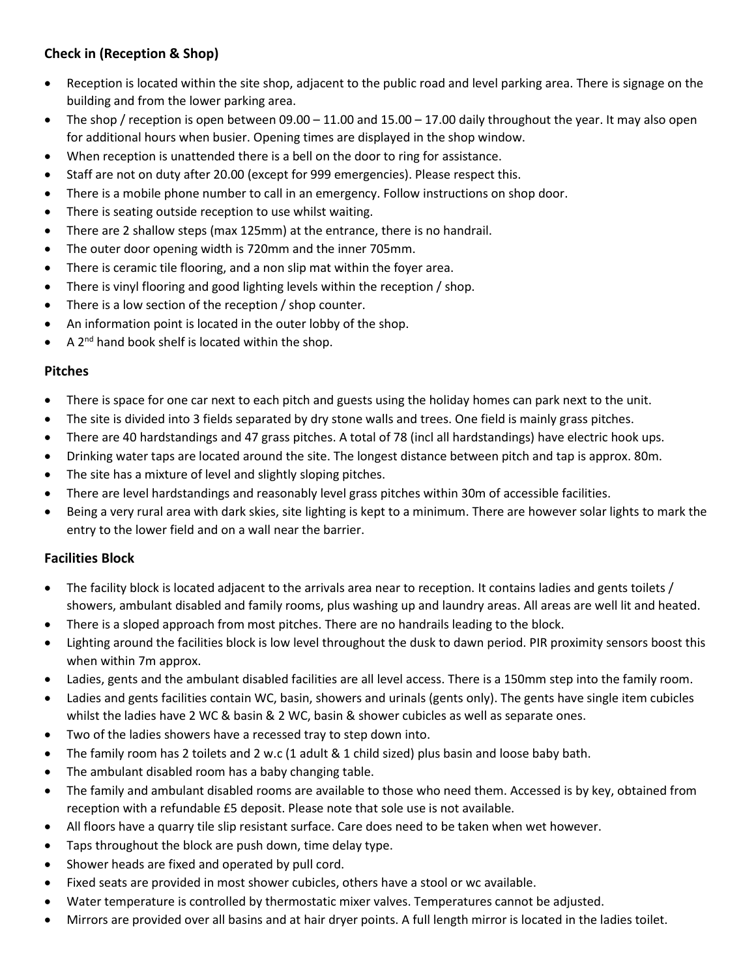# **Check in (Reception & Shop)**

- Reception is located within the site shop, adjacent to the public road and level parking area. There is signage on the building and from the lower parking area.
- The shop / reception is open between  $09.00 11.00$  and  $15.00 17.00$  daily throughout the year. It may also open for additional hours when busier. Opening times are displayed in the shop window.
- When reception is unattended there is a bell on the door to ring for assistance.
- Staff are not on duty after 20.00 (except for 999 emergencies). Please respect this.
- There is a mobile phone number to call in an emergency. Follow instructions on shop door.
- There is seating outside reception to use whilst waiting.
- There are 2 shallow steps (max 125mm) at the entrance, there is no handrail.
- The outer door opening width is 720mm and the inner 705mm.
- There is ceramic tile flooring, and a non slip mat within the foyer area.
- There is vinyl flooring and good lighting levels within the reception / shop.
- There is a low section of the reception / shop counter.
- An information point is located in the outer lobby of the shop.
- A  $2^{nd}$  hand book shelf is located within the shop.

# **Pitches**

- There is space for one car next to each pitch and guests using the holiday homes can park next to the unit.
- The site is divided into 3 fields separated by dry stone walls and trees. One field is mainly grass pitches.
- There are 40 hardstandings and 47 grass pitches. A total of 78 (incl all hardstandings) have electric hook ups.
- Drinking water taps are located around the site. The longest distance between pitch and tap is approx. 80m.
- The site has a mixture of level and slightly sloping pitches.
- There are level hardstandings and reasonably level grass pitches within 30m of accessible facilities.
- Being a very rural area with dark skies, site lighting is kept to a minimum. There are however solar lights to mark the entry to the lower field and on a wall near the barrier.

# **Facilities Block**

- The facility block is located adjacent to the arrivals area near to reception. It contains ladies and gents toilets / showers, ambulant disabled and family rooms, plus washing up and laundry areas. All areas are well lit and heated.
- There is a sloped approach from most pitches. There are no handrails leading to the block.
- Lighting around the facilities block is low level throughout the dusk to dawn period. PIR proximity sensors boost this when within 7m approx.
- Ladies, gents and the ambulant disabled facilities are all level access. There is a 150mm step into the family room.
- Ladies and gents facilities contain WC, basin, showers and urinals (gents only). The gents have single item cubicles whilst the ladies have 2 WC & basin & 2 WC, basin & shower cubicles as well as separate ones.
- Two of the ladies showers have a recessed tray to step down into.
- The family room has 2 toilets and 2 w.c (1 adult & 1 child sized) plus basin and loose baby bath.
- The ambulant disabled room has a baby changing table.
- The family and ambulant disabled rooms are available to those who need them. Accessed is by key, obtained from reception with a refundable £5 deposit. Please note that sole use is not available.
- All floors have a quarry tile slip resistant surface. Care does need to be taken when wet however.
- Taps throughout the block are push down, time delay type.
- Shower heads are fixed and operated by pull cord.
- Fixed seats are provided in most shower cubicles, others have a stool or wc available.
- Water temperature is controlled by thermostatic mixer valves. Temperatures cannot be adjusted.
- Mirrors are provided over all basins and at hair dryer points. A full length mirror is located in the ladies toilet.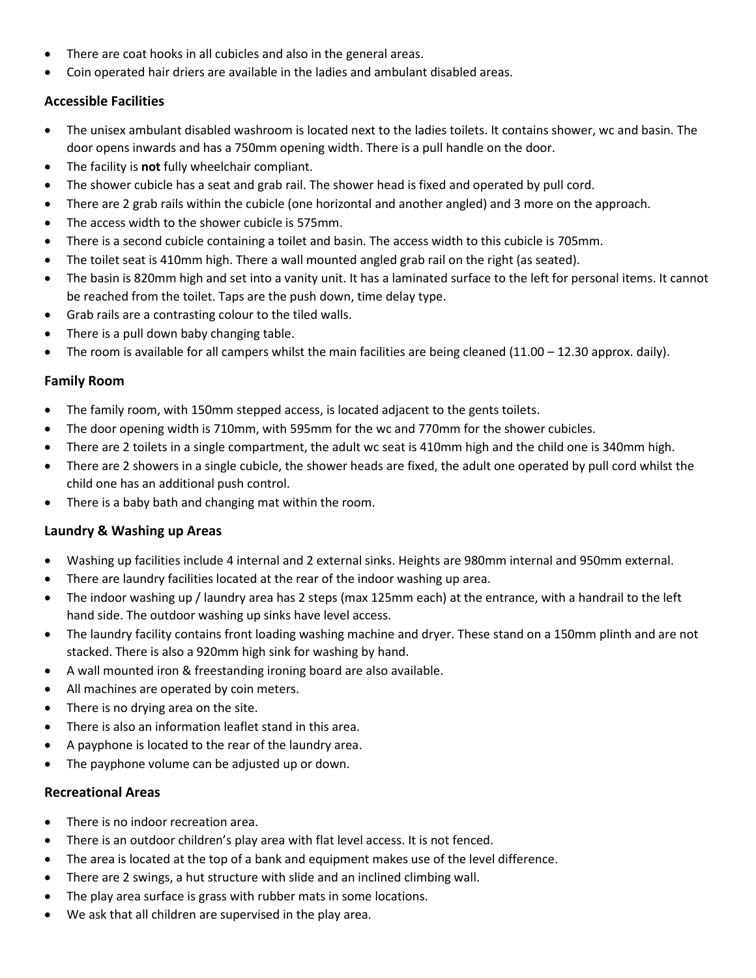- There are coat hooks in all cubicles and also in the general areas.
- Coin operated hair driers are available in the ladies and ambulant disabled areas.

# **Accessible Facilities**

- The unisex ambulant disabled washroom is located next to the ladies toilets. It contains shower, wc and basin. The door opens inwards and has a 750mm opening width. There is a pull handle on the door.
- The facility is **not** fully wheelchair compliant.
- The shower cubicle has a seat and grab rail. The shower head is fixed and operated by pull cord.
- There are 2 grab rails within the cubicle (one horizontal and another angled) and 3 more on the approach.
- The access width to the shower cubicle is 575mm.
- There is a second cubicle containing a toilet and basin. The access width to this cubicle is 705mm.
- The toilet seat is 410mm high. There a wall mounted angled grab rail on the right (as seated).
- The basin is 820mm high and set into a vanity unit. It has a laminated surface to the left for personal items. It cannot be reached from the toilet. Taps are the push down, time delay type.
- Grab rails are a contrasting colour to the tiled walls.
- There is a pull down baby changing table.
- The room is available for all campers whilst the main facilities are being cleaned (11.00 12.30 approx. daily).

# **Family Room**

- The family room, with 150mm stepped access, is located adjacent to the gents toilets.
- The door opening width is 710mm, with 595mm for the wc and 770mm for the shower cubicles.
- There are 2 toilets in a single compartment, the adult wc seat is 410mm high and the child one is 340mm high.
- There are 2 showers in a single cubicle, the shower heads are fixed, the adult one operated by pull cord whilst the child one has an additional push control.
- There is a baby bath and changing mat within the room.

# **Laundry & Washing up Areas**

- Washing up facilities include 4 internal and 2 external sinks. Heights are 980mm internal and 950mm external.
- There are laundry facilities located at the rear of the indoor washing up area.
- The indoor washing up / laundry area has 2 steps (max 125mm each) at the entrance, with a handrail to the left hand side. The outdoor washing up sinks have level access.
- The laundry facility contains front loading washing machine and dryer. These stand on a 150mm plinth and are not stacked. There is also a 920mm high sink for washing by hand.
- A wall mounted iron & freestanding ironing board are also available.
- All machines are operated by coin meters.
- There is no drying area on the site.
- There is also an information leaflet stand in this area.
- A payphone is located to the rear of the laundry area.
- The payphone volume can be adjusted up or down.

# **Recreational Areas**

- There is no indoor recreation area.
- There is an outdoor children's play area with flat level access. It is not fenced.
- The area is located at the top of a bank and equipment makes use of the level difference.
- There are 2 swings, a hut structure with slide and an inclined climbing wall.
- The play area surface is grass with rubber mats in some locations.
- We ask that all children are supervised in the play area.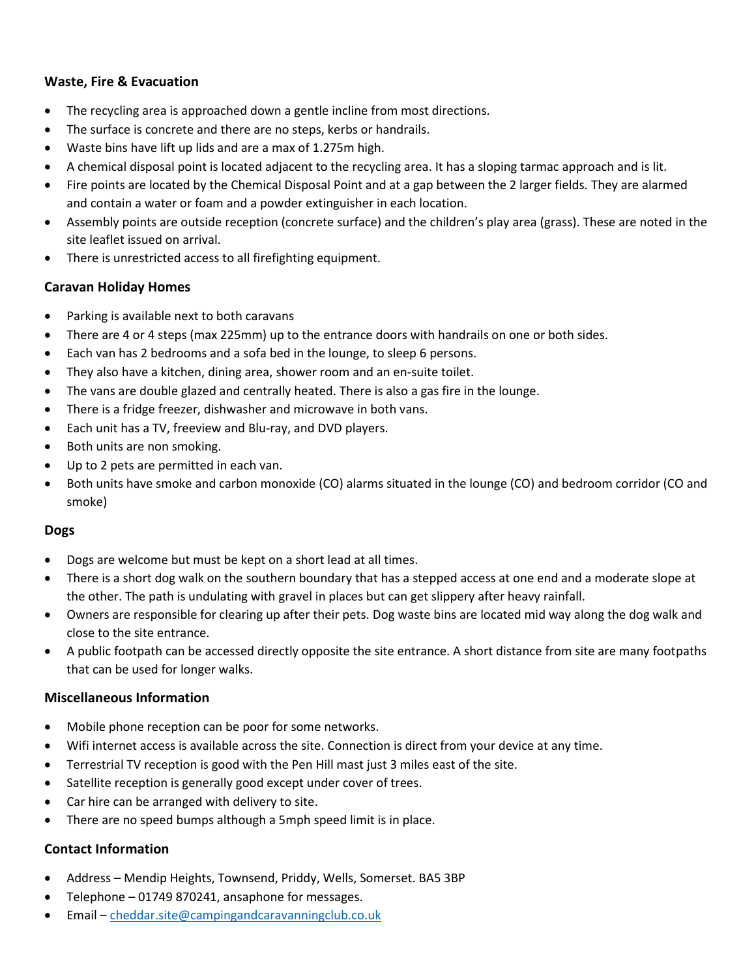# **Waste, Fire & Evacuation**

- The recycling area is approached down a gentle incline from most directions.
- The surface is concrete and there are no steps, kerbs or handrails.
- Waste bins have lift up lids and are a max of 1.275m high.
- A chemical disposal point is located adjacent to the recycling area. It has a sloping tarmac approach and is lit.
- Fire points are located by the Chemical Disposal Point and at a gap between the 2 larger fields. They are alarmed and contain a water or foam and a powder extinguisher in each location.
- Assembly points are outside reception (concrete surface) and the children's play area (grass). These are noted in the site leaflet issued on arrival.
- There is unrestricted access to all firefighting equipment.

#### **Caravan Holiday Homes**

- Parking is available next to both caravans
- There are 4 or 4 steps (max 225mm) up to the entrance doors with handrails on one or both sides.
- Each van has 2 bedrooms and a sofa bed in the lounge, to sleep 6 persons.
- They also have a kitchen, dining area, shower room and an en-suite toilet.
- The vans are double glazed and centrally heated. There is also a gas fire in the lounge.
- There is a fridge freezer, dishwasher and microwave in both vans.
- Each unit has a TV, freeview and Blu-ray, and DVD players.
- Both units are non smoking.
- Up to 2 pets are permitted in each van.
- Both units have smoke and carbon monoxide (CO) alarms situated in the lounge (CO) and bedroom corridor (CO and smoke)

# **Dogs**

- Dogs are welcome but must be kept on a short lead at all times.
- There is a short dog walk on the southern boundary that has a stepped access at one end and a moderate slope at the other. The path is undulating with gravel in places but can get slippery after heavy rainfall.
- Owners are responsible for clearing up after their pets. Dog waste bins are located mid way along the dog walk and close to the site entrance.
- A public footpath can be accessed directly opposite the site entrance. A short distance from site are many footpaths that can be used for longer walks.

#### **Miscellaneous Information**

- Mobile phone reception can be poor for some networks.
- Wifi internet access is available across the site. Connection is direct from your device at any time.
- Terrestrial TV reception is good with the Pen Hill mast just 3 miles east of the site.
- Satellite reception is generally good except under cover of trees.
- Car hire can be arranged with delivery to site.
- There are no speed bumps although a 5mph speed limit is in place.

# **Contact Information**

- Address Mendip Heights, Townsend, Priddy, Wells, Somerset. BA5 3BP
- Telephone 01749 870241, ansaphone for messages.
- Email [cheddar.site@campingandcaravanningclub.co.uk](mailto:cheddar.site@campingandcaravanningclub.co.uk)